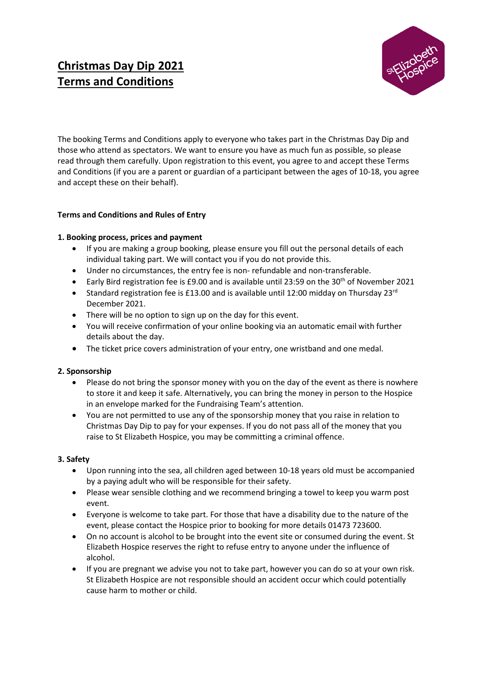# **Christmas Day Dip 2021 Terms and Conditions**



The booking Terms and Conditions apply to everyone who takes part in the Christmas Day Dip and those who attend as spectators. We want to ensure you have as much fun as possible, so please read through them carefully. Upon registration to this event, you agree to and accept these Terms and Conditions (if you are a parent or guardian of a participant between the ages of 10-18, you agree and accept these on their behalf).

# **Terms and Conditions and Rules of Entry**

# **1. Booking process, prices and payment**

- If you are making a group booking, please ensure you fill out the personal details of each individual taking part. We will contact you if you do not provide this.
- Under no circumstances, the entry fee is non- refundable and non-transferable.
- Early Bird registration fee is £9.00 and is available until 23:59 on the 30<sup>th</sup> of November 2021
- Standard registration fee is £13.00 and is available until 12:00 midday on Thursday 23<sup>rd</sup> December 2021.
- There will be no option to sign up on the day for this event.
- You will receive confirmation of your online booking via an automatic email with further details about the day.
- The ticket price covers administration of your entry, one wristband and one medal.

## **2. Sponsorship**

- Please do not bring the sponsor money with you on the day of the event as there is nowhere to store it and keep it safe. Alternatively, you can bring the money in person to the Hospice in an envelope marked for the Fundraising Team's attention.
- You are not permitted to use any of the sponsorship money that you raise in relation to Christmas Day Dip to pay for your expenses. If you do not pass all of the money that you raise to St Elizabeth Hospice, you may be committing a criminal offence.

## **3. Safety**

- Upon running into the sea, all children aged between 10-18 years old must be accompanied by a paying adult who will be responsible for their safety.
- Please wear sensible clothing and we recommend bringing a towel to keep you warm post event.
- Everyone is welcome to take part. For those that have a disability due to the nature of the event, please contact the Hospice prior to booking for more details 01473 723600.
- On no account is alcohol to be brought into the event site or consumed during the event. St Elizabeth Hospice reserves the right to refuse entry to anyone under the influence of alcohol.
- If you are pregnant we advise you not to take part, however you can do so at your own risk. St Elizabeth Hospice are not responsible should an accident occur which could potentially cause harm to mother or child.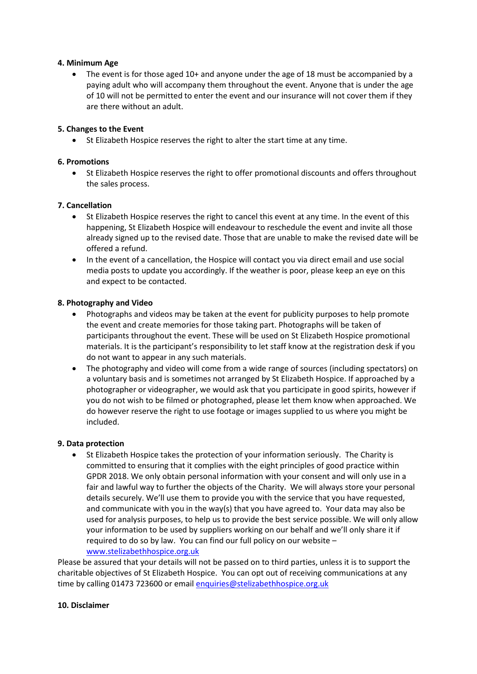#### **4. Minimum Age**

• The event is for those aged 10+ and anyone under the age of 18 must be accompanied by a paying adult who will accompany them throughout the event. Anyone that is under the age of 10 will not be permitted to enter the event and our insurance will not cover them if they are there without an adult.

#### **5. Changes to the Event**

• St Elizabeth Hospice reserves the right to alter the start time at any time.

#### **6. Promotions**

• St Elizabeth Hospice reserves the right to offer promotional discounts and offers throughout the sales process.

#### **7. Cancellation**

- St Elizabeth Hospice reserves the right to cancel this event at any time. In the event of this happening, St Elizabeth Hospice will endeavour to reschedule the event and invite all those already signed up to the revised date. Those that are unable to make the revised date will be offered a refund.
- In the event of a cancellation, the Hospice will contact you via direct email and use social media posts to update you accordingly. If the weather is poor, please keep an eye on this and expect to be contacted.

#### **8. Photography and Video**

- Photographs and videos may be taken at the event for publicity purposes to help promote the event and create memories for those taking part. Photographs will be taken of participants throughout the event. These will be used on St Elizabeth Hospice promotional materials. It is the participant's responsibility to let staff know at the registration desk if you do not want to appear in any such materials.
- The photography and video will come from a wide range of sources (including spectators) on a voluntary basis and is sometimes not arranged by St Elizabeth Hospice. If approached by a photographer or videographer, we would ask that you participate in good spirits, however if you do not wish to be filmed or photographed, please let them know when approached. We do however reserve the right to use footage or images supplied to us where you might be included.

#### **9. Data protection**

• St Elizabeth Hospice takes the protection of your information seriously. The Charity is committed to ensuring that it complies with the eight principles of good practice within GPDR 2018. We only obtain personal information with your consent and will only use in a fair and lawful way to further the objects of the Charity. We will always store your personal details securely. We'll use them to provide you with the service that you have requested, and communicate with you in the way(s) that you have agreed to. Your data may also be used for analysis purposes, to help us to provide the best service possible. We will only allow your information to be used by suppliers working on our behalf and we'll only share it if required to do so by law. You can find our full policy on our website – [www.stelizabethhospice.org.uk](http://www.stelizabethhospice.org.uk/)

Please be assured that your details will not be passed on to third parties, unless it is to support the charitable objectives of St Elizabeth Hospice. You can opt out of receiving communications at any time by calling 01473 723600 or emai[l enquiries@stelizabethhospice.org.uk](mailto:enquiries@stelizabethhospice.org.uk)

#### **10. Disclaimer**